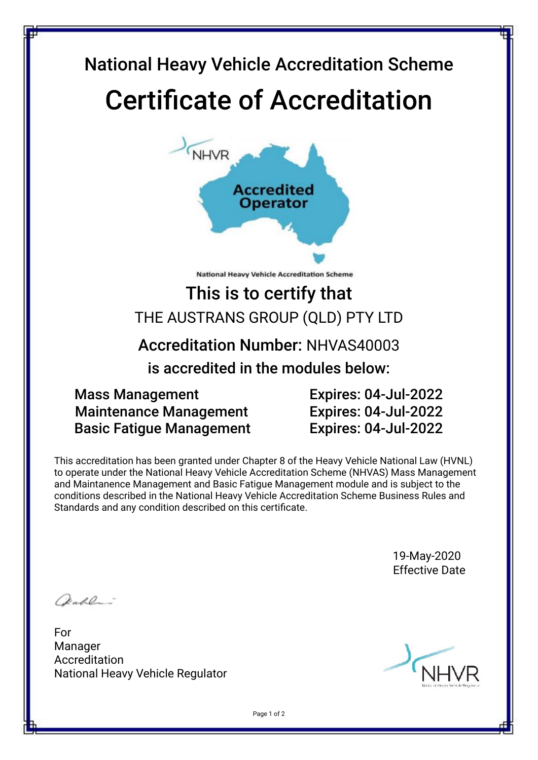# National Heavy Vehicle Accreditation Scheme Certifcate of Accreditation



**National Heavy Vehicle Accreditation Scheme** 

### This is to certify that THE AUSTRANS GROUP (QLD) PTY LTD

## Accreditation Number: NHVAS40003

is accredited in the modules below:

Mass Management Expires: 04-Jul-2022 Maintenance Management Expires: 04-Jul-2022 Basic Fatigue Management Expires: 04-Jul-2022

This accreditation has been granted under Chapter 8 of the Heavy Vehicle National Law (HVNL) to operate under the National Heavy Vehicle Accreditation Scheme (NHVAS) Mass Management and Maintanence Management and Basic Fatigue Management module and is subject to the conditions described in the National Heavy Vehicle Accreditation Scheme Business Rules and Standards and any condition described on this certifcate.

> 19-May-2020 Effective Date

 $2.10.$ 

For Manager Accreditation National Heavy Vehicle Regulator